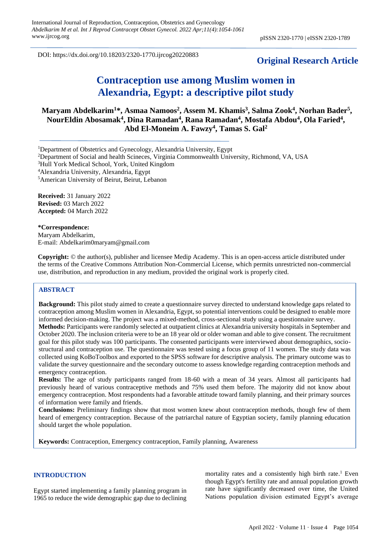DOI: https://dx.doi.org/10.18203/2320-1770.ijrcog20220883

# **Original Research Article**

# **Contraception use among Muslim women in Alexandria, Egypt: a descriptive pilot study**

**Maryam Abdelkarim<sup>1</sup>\*, Asmaa Namoos<sup>2</sup> , Assem M. Khamis<sup>3</sup> , Salma Zook<sup>4</sup> , Norhan Bader<sup>5</sup> , NourEldin Abosamak<sup>4</sup> , Dina Ramadan<sup>4</sup> , Rana Ramadan<sup>4</sup> , Mostafa Abdou<sup>4</sup> , Ola Faried<sup>4</sup> , Abd El-Moneim A. Fawzy<sup>4</sup> , Tamas S. Gal<sup>2</sup>**

<sup>1</sup>Department of Obstetrics and Gynecology, Alexandria University, Egypt

<sup>2</sup>Department of Social and health Scineces, Virginia Commonwealth University, Richmond, VA, USA

<sup>3</sup>Hull York Medical School, York, United Kingdom

<sup>4</sup>Alexandria University, Alexandria, Egypt

<sup>5</sup>American University of Beirut, Beirut, Lebanon

**Received:** 31 January 2022 **Revised:** 03 March 2022 **Accepted:** 04 March 2022

**\*Correspondence:** Maryam Abdelkarim, E-mail: Abdelkarim0maryam@gmail.com

**Copyright:** © the author(s), publisher and licensee Medip Academy. This is an open-access article distributed under the terms of the Creative Commons Attribution Non-Commercial License, which permits unrestricted non-commercial use, distribution, and reproduction in any medium, provided the original work is properly cited.

#### **ABSTRACT**

**Background:** This pilot study aimed to create a questionnaire survey directed to understand knowledge gaps related to contraception among Muslim women in Alexandria, Egypt, so potential interventions could be designed to enable more informed decision-making. The project was a mixed-method, cross-sectional study using a questionnaire survey. **Methods:** Participants were randomly selected at outpatient clinics at Alexandria university hospitals in September and October 2020. The inclusion criteria were to be an 18 year old or older woman and able to give consent. The recruitment goal for this pilot study was 100 participants. The consented participants were interviewed about demographics, sociostructural and contraception use. The questionnaire was tested using a focus group of 11 women. The study data was collected using KoBoToolbox and exported to the SPSS software for descriptive analysis. The primary outcome was to validate the survey questionnaire and the secondary outcome to assess knowledge regarding contraception methods and emergency contraception.

**Results:** The age of study participants ranged from 18-60 with a mean of 34 years. Almost all participants had previously heard of various contraceptive methods and 75% used them before. The majority did not know about emergency contraception. Most respondents had a favorable attitude toward family planning, and their primary sources of information were family and friends.

**Conclusions:** Preliminary findings show that most women knew about contraception methods, though few of them heard of emergency contraception. Because of the patriarchal nature of Egyptian society, family planning education should target the whole population.

**Keywords:** Contraception, Emergency contraception, Family planning, Awareness

## **INTRODUCTION**

Egypt started implementing a family planning program in 1965 to reduce the wide demographic gap due to declining

mortality rates and a consistently high birth rate. <sup>1</sup> Even though Egypt's fertility rate and annual population growth rate have significantly decreased over time, the United Nations population division estimated Egypt's average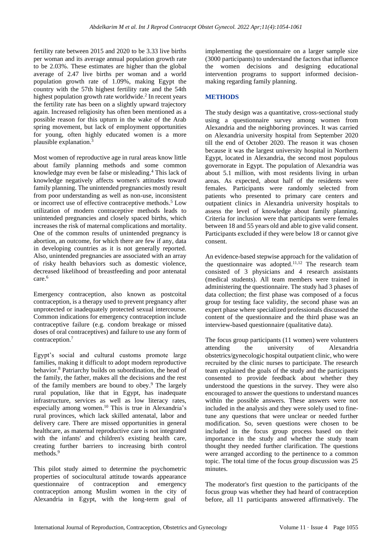fertility rate between 2015 and 2020 to be 3.33 live births per woman and its average annual population growth rate to be 2.03%. These estimates are higher than the global average of 2.47 live births per woman and a world population growth rate of 1.09%, making Egypt the country with the 57th highest fertility rate and the 54th highest population growth rate worldwide. 2 In recent years the fertility rate has been on a slightly upward trajectory again. Increased religiosity has often been mentioned as a possible reason for this upturn in the wake of the Arab spring movement, but lack of employment opportunities for young, often highly educated women is a more plausible explanation. 3

Most women of reproductive age in rural areas know little about family planning methods and some common knowledge may even be false or misleading. <sup>4</sup> This lack of knowledge negatively affects women's attitudes toward family planning. The unintended pregnancies mostly result from poor understanding as well as non-use, inconsistent or incorrect use of effective contraceptive methods. <sup>5</sup> Low utilization of modern contraceptive methods leads to unintended pregnancies and closely spaced births, which increases the risk of maternal complications and mortality. One of the common results of unintended pregnancy is abortion, an outcome, for which there are few if any, data in developing countries as it is not generally reported. Also, unintended pregnancies are associated with an array of risky health behaviors such as domestic violence, decreased likelihood of breastfeeding and poor antenatal care. 6

Emergency contraception, also known as postcoital contraception, is a therapy used to prevent pregnancy after unprotected or inadequately protected sexual intercourse. Common indications for emergency contraception include contraceptive failure (e.g. condom breakage or missed doses of oral contraceptives) and failure to use any form of contraception. 7

Egypt's social and cultural customs promote large families, making it difficult to adopt modern reproductive behavior. <sup>8</sup> Patriarchy builds on subordination, the head of the family, the father, makes all the decisions and the rest of the family members are bound to obey. <sup>9</sup> The largely rural population, like that in Egypt, has inadequate infrastructure, services as well as low literacy rates, especially among women. <sup>10</sup> This is true in Alexandria's rural provinces, which lack skilled antenatal, labor and delivery care. There are missed opportunities in general healthcare, as maternal reproductive care is not integrated with the infants' and children's existing health care, creating further barriers to increasing birth control methods. 9

This pilot study aimed to determine the psychometric properties of sociocultural attitude towards appearance questionnaire of contraception and emergency contraception among Muslim women in the city of Alexandria in Egypt, with the long-term goal of implementing the questionnaire on a larger sample size (3000 participants) to understand the factors that influence the women decisions and designing educational intervention programs to support informed decisionmaking regarding family planning.

# **METHODS**

The study design was a quantitative, cross-sectional study using a questionnaire survey among women from Alexandria and the neighboring provinces. It was carried on Alexandria university hospital from September 2020 till the end of October 2020. The reason it was chosen because it was the largest university hospital in Northern Egypt, located in Alexandria, the second most populous governorate in Egypt. The population of Alexandria was about 5.1 million, with most residents living in urban areas. As expected, about half of the residents were females. Participants were randomly selected from patients who presented to primary care centers and outpatient clinics in Alexandria university hospitals to assess the level of knowledge about family planning. Criteria for inclusion were that participants were females between 18 and 55 years old and able to give valid consent. Participants excluded if they were below 18 or cannot give consent.

An evidence-based stepwise approach for the validation of the questionnaire was adopted. 11,12 The research team consisted of 3 physicians and 4 research assistants (medical students). All team members were trained in administering the questionnaire. The study had 3 phases of data collection; the first phase was composed of a focus group for testing face validity, the second phase was an expert phase where specialized professionals discussed the content of the questionnaire and the third phase was an interview-based questionnaire (qualitative data).

The focus group participants (11 women) were volunteers attending the university of Alexandria obstetrics/gynecologic hospital outpatient clinic, who were recruited by the clinic nurses to participate. The research team explained the goals of the study and the participants consented to provide feedback about whether they understood the questions in the survey. They were also encouraged to answer the questions to understand nuances within the possible answers. These answers were not included in the analysis and they were solely used to finetune any questions that were unclear or needed further modification. So, seven questions were chosen to be included in the focus group process based on their importance in the study and whether the study team thought they needed further clarification. The questions were arranged according to the pertinence to a common topic. The total time of the focus group discussion was 25 minutes.

The moderator's first question to the participants of the focus group was whether they had heard of contraception before, all 11 participants answered affirmatively. The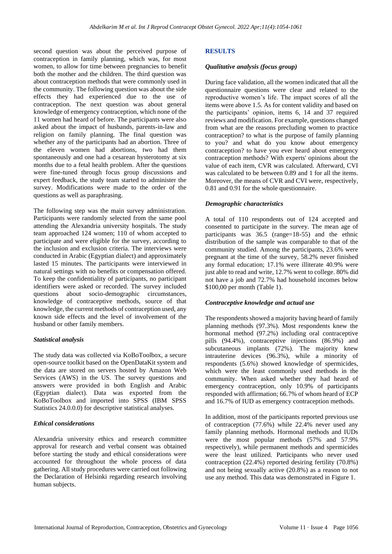second question was about the perceived purpose of contraception in family planning, which was, for most women, to allow for time between pregnancies to benefit both the mother and the children. The third question was about contraception methods that were commonly used in the community. The following question was about the side effects they had experienced due to the use of contraception. The next question was about general knowledge of emergency contraception, which none of the 11 women had heard of before. The participants were also asked about the impact of husbands, parents-in-law and religion on family planning. The final question was whether any of the participants had an abortion. Three of the eleven women had abortions, two had them spontaneously and one had a cesarean hysterotomy at six months due to a fetal health problem. After the questions were fine-tuned through focus group discussions and expert feedback, the study team started to administer the survey. Modifications were made to the order of the questions as well as paraphrasing.

The following step was the main survey administration. Participants were randomly selected from the same pool attending the Alexandria university hospitals. The study team approached 124 women; 110 of whom accepted to participate and were eligible for the survey, according to the inclusion and exclusion criteria. The interviews were conducted in Arabic (Egyptian dialect) and approximately lasted 15 minutes. The participants were interviewed in natural settings with no benefits or compensation offered. To keep the confidentiality of participants, no participant identifiers were asked or recorded. The survey included questions about socio-demographic circumstances, knowledge of contraceptive methods, source of that knowledge, the current methods of contraception used, any known side effects and the level of involvement of the husband or other family members.

# *Statistical analysis*

The study data was collected via KoBoToolbox, a secure open-source toolkit based on the OpenDataKit system and the data are stored on servers hosted by Amazon Web Services (AWS) in the US. The survey questions and answers were provided in both English and Arabic (Egyptian dialect). Data was exported from the KoBoToolbox and imported into SPSS (IBM SPSS Statistics 24.0.0.0) for descriptive statistical analyses.

# *Ethical considerations*

Alexandria university ethics and research committee approval for research and verbal consent was obtained before starting the study and ethical considerations were accounted for throughout the whole process of data gathering. All study procedures were carried out following the Declaration of Helsinki regarding research involving human subjects.

# **RESULTS**

# *Qualitative analysis (focus group)*

During face validation, all the women indicated that all the questionnaire questions were clear and related to the reproductive women's life. The impact scores of all the items were above 1.5. As for content validity and based on the participants' opinion, items 6, 14 and 37 required reviews and modification. For example, questions changed from what are the reasons precluding women to practice contraception? to what is the purpose of family planning to you? and what do you know about emergency contraception? to have you ever heard about emergency contraception methods? With experts' opinions about the value of each item, CVR was calculated. Afterward, CVI was calculated to be between 0.89 and 1 for all the items. Moreover, the means of CVR and CVI were, respectively, 0.81 and 0.91 for the whole questionnaire.

# *Demographic characteristics*

A total of 110 respondents out of 124 accepted and consented to participate in the survey. The mean age of participants was 36.5 (range=18-55) and the ethnic distribution of the sample was comparable to that of the community studied. Among the participants, 23.6% were pregnant at the time of the survey, 58.2% never finished any formal education; 17.1% were illiterate 40.9% were just able to read and write, 12.7% went to college. 80% did not have a job and 72.7% had household incomes below \$100,00 per month (Table 1).

# *Contraceptive knowledge and actual use*

The respondents showed a majority having heard of family planning methods (97.3%). Most respondents knew the hormonal method (97.2%) including oral contraceptive pills (94.4%), contraceptive injections (86.9%) and subcutaneous implants (72%). The majority knew intrauterine devices (96.3%), while a minority of respondents (5.6%) showed knowledge of spermicides, which were the least commonly used methods in the community. When asked whether they had heard of emergency contraception, only 10.9% of participants responded with affirmation; 66.7% of whom heard of ECP and 16.7% of IUD as emergency contraception methods.

In addition, most of the participants reported previous use of contraception (77.6%) while 22.4% never used any family planning methods. Hormonal methods and IUDs were the most popular methods (57% and 57.9% respectively), while permanent methods and spermicides were the least utilized. Participants who never used contraception (22.4%) reported desiring fertility (70.8%) and not being sexually active (20.8%) as a reason to not use any method. This data was demonstrated in Figure 1.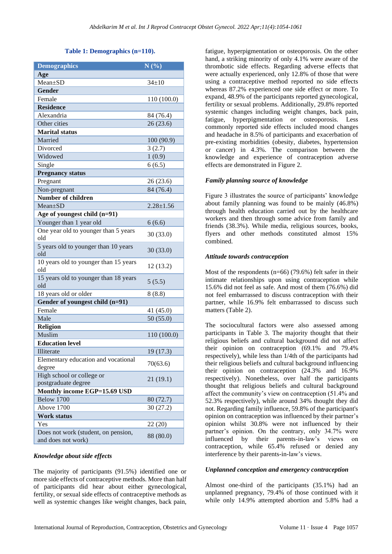#### **Table 1: Demographics (n=110).**

| <b>Demographics</b>                              | N(%)            |
|--------------------------------------------------|-----------------|
| Age                                              |                 |
| $Mean+SD$                                        | $34 \pm 10$     |
| <b>Gender</b>                                    |                 |
| Female                                           | 110 (100.0)     |
| <b>Residence</b>                                 |                 |
| Alexandria                                       | 84 (76.4)       |
| Other cities                                     | 26(23.6)        |
| <b>Marital status</b>                            |                 |
| Married                                          | 100 (90.9)      |
| Divorced                                         | 3(2.7)          |
| Widowed                                          | 1(0.9)          |
| Single                                           | 6(6.5)          |
| <b>Pregnancy status</b>                          |                 |
| Pregnant                                         | 26 (23.6)       |
| Non-pregnant                                     | 84 (76.4)       |
| Number of children                               |                 |
| $Mean+SD$                                        | $2.28 \pm 1.56$ |
| Age of youngest child (n=91)                     |                 |
| Younger than 1 year old                          | 6(6.6)          |
| One year old to younger than 5 years<br>old      | 30(33.0)        |
| 5 years old to younger than 10 years<br>old      | 30(33.0)        |
| 10 years old to younger than 15 years<br>old     | 12(13.2)        |
| 15 years old to younger than 18 years<br>old     | 5(5.5)          |
| 18 years old or older                            | 8(8.8)          |
| Gender of youngest child (n=91)                  |                 |
| Female                                           | 41 (45.0)       |
| Male                                             | 50(55.0)        |
| <b>Religion</b>                                  |                 |
| Muslim                                           | 110 (100.0)     |
| <b>Education level</b>                           |                 |
| Illiterate                                       | 19(17.3)        |
| Elementary education and vocational<br>degree    | 70(63.6)        |
| High school or college or<br>postgraduate degree | 21(19.1)        |
| Monthly income EGP=15.69 USD                     |                 |
| Below 1700                                       | 80 (72.7)       |
| Above 1700                                       | 30 (27.2)       |
| <b>Work status</b>                               |                 |
| Yes                                              | 22 (20)         |
| Does not work (student, on pension,              |                 |
| and does not work)                               | 88 (80.0)       |

# *Knowledge about side effects*

The majority of participants (91.5%) identified one or more side effects of contraceptive methods. More than half of participants did hear about either gynecological, fertility, or sexual side effects of contraceptive methods as well as systemic changes like weight changes, back pain, fatigue, hyperpigmentation or osteoporosis. On the other hand, a striking minority of only 4.1% were aware of the thrombotic side effects. Regarding adverse effects that were actually experienced, only 12.8% of those that were using a contraceptive method reported no side effects whereas 87.2% experienced one side effect or more. To expand, 48.9% of the participants reported gynecological, fertility or sexual problems. Additionally, 29.8% reported systemic changes including weight changes, back pain, fatigue, hyperpigmentation or osteoporosis. Less commonly reported side effects included mood changes and headache in 8.5% of participants and exacerbation of pre-existing morbidities (obesity, diabetes, hypertension or cancer) in 4.3%. The comparison between the knowledge and experience of contraception adverse effects are demonstrated in Figure 2.

#### *Family planning source of knowledge*

Figure 3 illustrates the source of participants' knowledge about family planning was found to be mainly (46.8%) through health education carried out by the healthcare workers and then through some advice from family and friends (38.3%). While media, religious sources, books, flyers and other methods constituted almost 15% combined.

#### *Attitude towards contraception*

Most of the respondents (n=66) (79.6%) felt safer in their intimate relationships upon using contraception while 15.6% did not feel as safe. And most of them (76.6%) did not feel embarrassed to discuss contraception with their partner, while 16.9% felt embarrassed to discuss such matters (Table 2).

The sociocultural factors were also assessed among participants in Table 3. The majority thought that their religious beliefs and cultural background did not affect their opinion on contraception (69.1% and 79.4% respectively), while less than 1/4th of the participants had their religious beliefs and cultural background influencing their opinion on contraception (24.3% and 16.9% respectively). Nonetheless, over half the participants thought that religious beliefs and cultural background affect the community's view on contraception (51.4% and 52.3% respectively), while around 34% thought they did not. Regarding family influence, 59.8% of the participant's opinion on contraception was influenced by their partner's opinion whilst 30.8% were not influenced by their partner's opinion. On the contrary, only 34.7% were influenced by their parents-in-law's views on contraception, while 65.4% refused or denied any interference by their parents-in-law's views.

#### *Unplanned conception and emergency contraception*

Almost one-third of the participants (35.1%) had an unplanned pregnancy, 79.4% of those continued with it while only 14.9% attempted abortion and 5.8% had a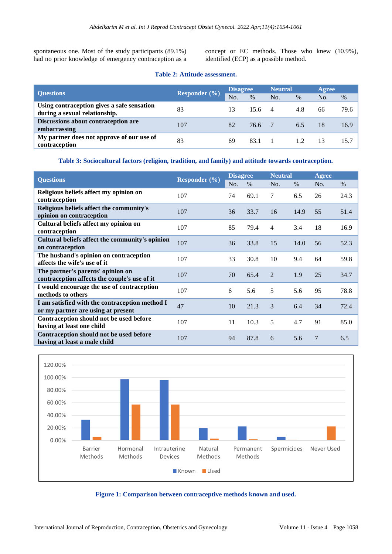spontaneous one. Most of the study participants (89.1%) had no prior knowledge of emergency contraception as a concept or EC methods. Those who knew (10.9%), identified (ECP) as a possible method.

|  |  |  | <b>Table 2: Attitude assessment.</b> |
|--|--|--|--------------------------------------|
|--|--|--|--------------------------------------|

| <b>Ouestions</b>                                                            | <b>Responder</b> $(\frac{9}{6})$ | <b>Disagree</b> |                | <b>Neutral</b> |      | Agree |      |
|-----------------------------------------------------------------------------|----------------------------------|-----------------|----------------|----------------|------|-------|------|
|                                                                             |                                  | N <sub>O</sub>  | $\%$           | No.            | $\%$ | No.   | $\%$ |
| Using contraception gives a safe sensation<br>during a sexual relationship. | 83                               | 13              | $15.6 \quad 4$ |                | 4.8  | 66    | 79.6 |
| Discussions about contraception are<br>embarrassing                         | 107                              | 82              | 76.6 7         |                | 6.5  | 18    | 16.9 |
| My partner does not approve of our use of<br>contraception                  | 83                               | 69              | 83.1           |                | 12   | 13    | 15.7 |

**Table 3: Sociocultural factors (religion, tradition, and family) and attitude towards contraception.**

| <b>Questions</b>                                                                     | Responder $(\% )$ | <b>Disagree</b> |      | <b>Neutral</b> |      | Agree |      |
|--------------------------------------------------------------------------------------|-------------------|-----------------|------|----------------|------|-------|------|
|                                                                                      |                   | No.             | $\%$ | No.            | $\%$ | No.   | $\%$ |
| Religious beliefs affect my opinion on<br>contraception                              | 107               | 74              | 69.1 | 7              | 6.5  | 26    | 24.3 |
| Religious beliefs affect the community's<br>opinion on contraception                 | 107               | 36              | 33.7 | 16             | 14.9 | 55    | 51.4 |
| Cultural beliefs affect my opinion on<br>contraception                               | 107               | 85              | 79.4 | $\overline{4}$ | 3.4  | 18    | 16.9 |
| Cultural beliefs affect the community's opinion<br>on contraception                  | 107               | 36              | 33.8 | 15             | 14.0 | 56    | 52.3 |
| The husband's opinion on contraception<br>affects the wife's use of it               | 107               | 33              | 30.8 | 10             | 9.4  | 64    | 59.8 |
| The partner's parents' opinion on<br>contraception affects the couple's use of it    | 107               | 70              | 65.4 | $\overline{2}$ | 1.9  | 25    | 34.7 |
| I would encourage the use of contraception<br>methods to others                      | 107               | 6               | 5.6  | 5              | 5.6  | 95    | 78.8 |
| I am satisfied with the contraception method I<br>or my partner are using at present | 47                | 10              | 21.3 | 3              | 6.4  | 34    | 72.4 |
| Contraception should not be used before<br>having at least one child                 | 107               | 11              | 10.3 | 5              | 4.7  | 91    | 85.0 |
| Contraception should not be used before<br>having at least a male child              | 107               | 94              | 87.8 | 6              | 5.6  | 7     | 6.5  |



**Figure 1: Comparison between contraceptive methods known and used.**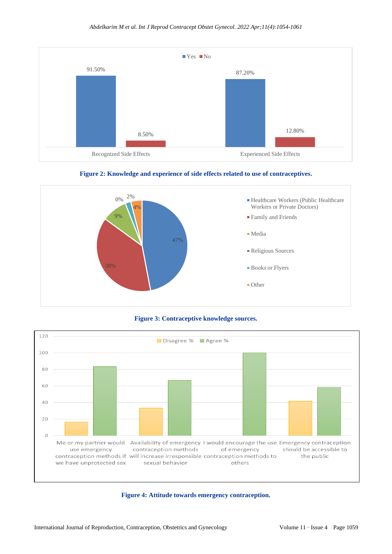





**Figure 3: Contraceptive knowledge sources.**



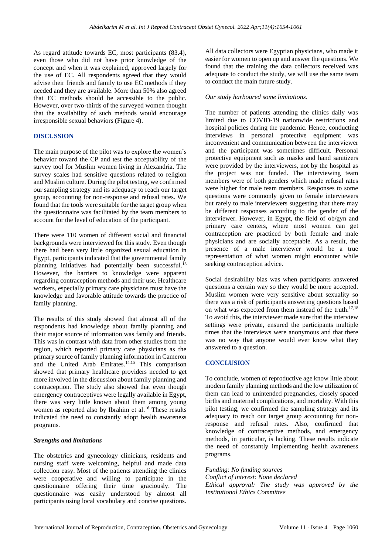As regard attitude towards EC, most participants (83.4), even those who did not have prior knowledge of the concept and when it was explained, approved largely for the use of EC. All respondents agreed that they would advise their friends and family to use EC methods if they needed and they are available. More than 50% also agreed that EC methods should be accessible to the public. However, over two-thirds of the surveyed women thought that the availability of such methods would encourage irresponsible sexual behaviors (Figure 4).

# **DISCUSSION**

The main purpose of the pilot was to explore the women's behavior toward the CP and test the acceptability of the survey tool for Muslim women living in Alexandria. The survey scales had sensitive questions related to religion and Muslim culture. During the pilot testing, we confirmed our sampling strategy and its adequacy to reach our target group, accounting for non-response and refusal rates. We found that the tools were suitable for the target group when the questionnaire was facilitated by the team members to account for the level of education of the participant.

There were 110 women of different social and financial backgrounds were interviewed for this study. Even though there had been very little organized sexual education in Egypt, participants indicated that the governmental family planning initiatives had potentially been successful.<sup>13</sup> However, the barriers to knowledge were apparent regarding contraception methods and their use. Healthcare workers, especially primary care physicians must have the knowledge and favorable attitude towards the practice of family planning.

The results of this study showed that almost all of the respondents had knowledge about family planning and their major source of information was family and friends. This was in contrast with data from other studies from the region, which reported primary care physicians as the primary source of family planning information in Cameron and the United Arab Emirates. 14,15 This comparison showed that primary healthcare providers needed to get more involved in the discussion about family planning and contraception. The study also showed that even though emergency contraceptives were legally available in Egypt, there was very little known about them among young women as reported also by Ibrahim et al. <sup>16</sup> These results indicated the need to constantly adopt health awareness programs.

#### *Strengths and limitations*

The obstetrics and gynecology clinicians, residents and nursing staff were welcoming, helpful and made data collection easy. Most of the patients attending the clinics were cooperative and willing to participate in the questionnaire offering their time graciously. The questionnaire was easily understood by almost all participants using local vocabulary and concise questions. All data collectors were Egyptian physicians, who made it easier for women to open up and answer the questions. We found that the training the data collectors received was adequate to conduct the study, we will use the same team to conduct the main future study.

#### *Our study harboured some limitations.*

The number of patients attending the clinics daily was limited due to COVID-19 nationwide restrictions and hospital policies during the pandemic. Hence, conducting interviews in personal protective equipment was inconvenient and communication between the interviewer and the participant was sometimes difficult. Personal protective equipment such as masks and hand sanitizers were provided by the interviewers, not by the hospital as the project was not funded. The interviewing team members were of both genders which made refusal rates were higher for male team members. Responses to some questions were commonly given to female interviewers but rarely to male interviewers suggesting that there may be different responses according to the gender of the interviewer. However, in Egypt, the field of ob/gyn and primary care centers, where most women can get contraception are practiced by both female and male physicians and are socially acceptable. As a result, the presence of a male interviewer would be a true representation of what women might encounter while seeking contraception advice.

Social desirability bias was when participants answered questions a certain way so they would be more accepted. Muslim women were very sensitive about sexuality so there was a risk of participants answering questions based on what was expected from them instead of the truth. 17,18 To avoid this, the interviewer made sure that the interview settings were private, ensured the participants multiple times that the interviews were anonymous and that there was no way that anyone would ever know what they answered to a question.

# **CONCLUSION**

To conclude, women of reproductive age know little about modern family planning methods and the low utilization of them can lead to unintended pregnancies, closely spaced births and maternal complications, and mortality. With this pilot testing, we confirmed the sampling strategy and its adequacy to reach our target group accounting for nonresponse and refusal rates. Also, confirmed that knowledge of contraceptive methods, and emergency methods, in particular, is lacking. These results indicate the need of constantly implementing health awareness programs.

*Funding: No funding sources Conflict of interest: None declared Ethical approval: The study was approved by the Institutional Ethics Committee*